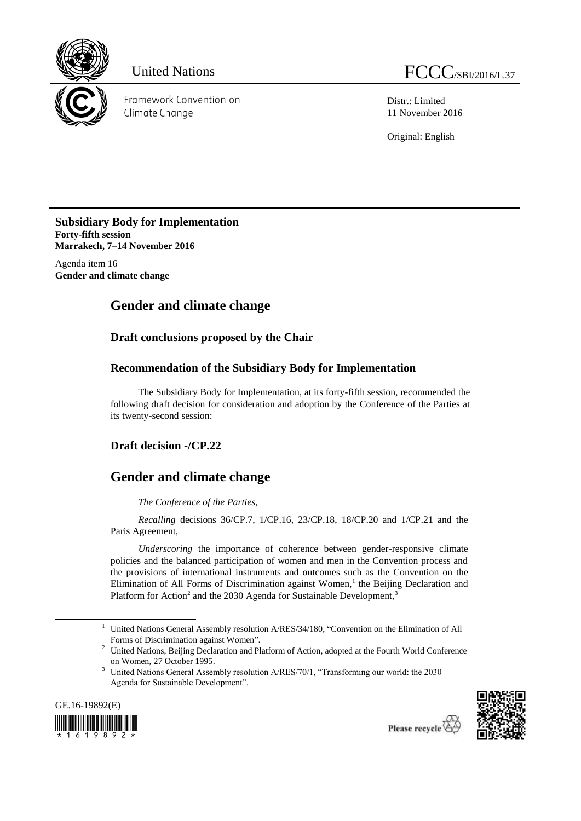

Framework Convention on Climate Change

Distr.: Limited 11 November 2016

Original: English

**Subsidiary Body for Implementation Forty-fifth session Marrakech, 7–14 November 2016**

Agenda item 16 **Gender and climate change**

## **Gender and climate change**

**Draft conclusions proposed by the Chair**

## **Recommendation of the Subsidiary Body for Implementation**

The Subsidiary Body for Implementation, at its forty-fifth session, recommended the following draft decision for consideration and adoption by the Conference of the Parties at its twenty-second session:

## **Draft decision -/CP.22**

## **Gender and climate change**

*The Conference of the Parties*,

*Recalling* decisions 36/CP.7, 1/CP.16, 23/CP.18, 18/CP.20 and 1/CP.21 and the Paris Agreement,

*Underscoring* the importance of coherence between gender-responsive climate policies and the balanced participation of women and men in the Convention process and the provisions of international instruments and outcomes such as the Convention on the Elimination of All Forms of Discrimination against Women,<sup>1</sup> the Beijing Declaration and Platform for Action<sup>2</sup> and the 2030 Agenda for Sustainable Development,<sup>3</sup>

<sup>&</sup>lt;sup>3</sup> United Nations General Assembly resolution A/RES/70/1, "Transforming our world: the 2030 Agenda for Sustainable Development".



1



<sup>&</sup>lt;sup>1</sup> United Nations General Assembly resolution A/RES/34/180, "Convention on the Elimination of All Forms of Discrimination against Women".

<sup>&</sup>lt;sup>2</sup> United Nations, Beijing Declaration and Platform of Action, adopted at the Fourth World Conference on Women, 27 October 1995.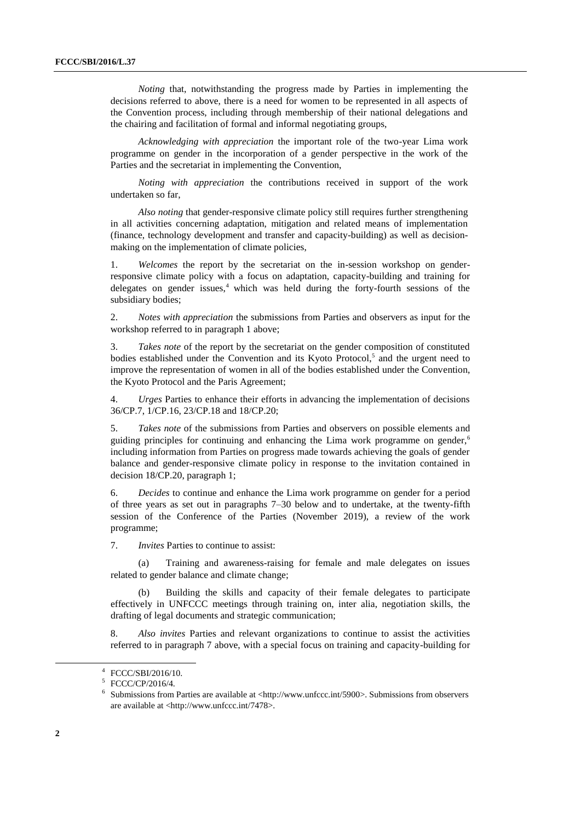*Noting* that, notwithstanding the progress made by Parties in implementing the decisions referred to above, there is a need for women to be represented in all aspects of the Convention process, including through membership of their national delegations and the chairing and facilitation of formal and informal negotiating groups,

*Acknowledging with appreciation* the important role of the two-year Lima work programme on gender in the incorporation of a gender perspective in the work of the Parties and the secretariat in implementing the Convention,

*Noting with appreciation* the contributions received in support of the work undertaken so far,

*Also noting* that gender-responsive climate policy still requires further strengthening in all activities concerning adaptation, mitigation and related means of implementation (finance, technology development and transfer and capacity-building) as well as decisionmaking on the implementation of climate policies,

1. *Welcomes* the report by the secretariat on the in-session workshop on genderresponsive climate policy with a focus on adaptation, capacity-building and training for delegates on gender issues, $4$  which was held during the forty-fourth sessions of the subsidiary bodies;

2. *Notes with appreciation* the submissions from Parties and observers as input for the workshop referred to in paragraph 1 above;

3. *Takes note* of the report by the secretariat on the gender composition of constituted bodies established under the Convention and its Kyoto Protocol,<sup>5</sup> and the urgent need to improve the representation of women in all of the bodies established under the Convention, the Kyoto Protocol and the Paris Agreement;

4. *Urges* Parties to enhance their efforts in advancing the implementation of decisions 36/CP.7, 1/CP.16, 23/CP.18 and 18/CP.20;

5. *Takes note* of the submissions from Parties and observers on possible elements and guiding principles for continuing and enhancing the Lima work programme on gender, $6\overline{6}$ including information from Parties on progress made towards achieving the goals of gender balance and gender-responsive climate policy in response to the invitation contained in decision 18/CP.20, paragraph 1;

6. *Decides* to continue and enhance the Lima work programme on gender for a period of three years as set out in paragraphs 7–30 below and to undertake, at the twenty-fifth session of the Conference of the Parties (November 2019), a review of the work programme;

7. *Invites* Parties to continue to assist:

Training and awareness-raising for female and male delegates on issues related to gender balance and climate change;

(b) Building the skills and capacity of their female delegates to participate effectively in UNFCCC meetings through training on, inter alia, negotiation skills, the drafting of legal documents and strategic communication;

8. *Also invites* Parties and relevant organizations to continue to assist the activities referred to in paragraph 7 above, with a special focus on training and capacity-building for

-

<sup>4</sup> FCCC/SBI/2016/10.

<sup>5</sup> FCCC/CP/2016/4.

 $6$  Submissions from Parties are available at <http://www.unfccc.int/5900>. Submissions from observers are available at <http://www.unfccc.int/7478>.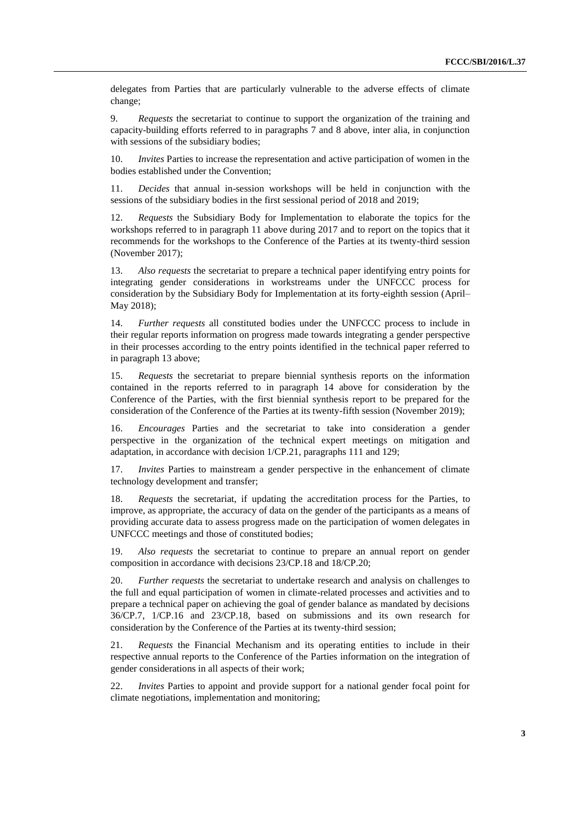delegates from Parties that are particularly vulnerable to the adverse effects of climate change;

9. *Requests* the secretariat to continue to support the organization of the training and capacity-building efforts referred to in paragraphs 7 and 8 above, inter alia, in conjunction with sessions of the subsidiary bodies;

10. *Invites* Parties to increase the representation and active participation of women in the bodies established under the Convention;

11. *Decides* that annual in-session workshops will be held in conjunction with the sessions of the subsidiary bodies in the first sessional period of 2018 and 2019;

12. *Requests* the Subsidiary Body for Implementation to elaborate the topics for the workshops referred to in paragraph 11 above during 2017 and to report on the topics that it recommends for the workshops to the Conference of the Parties at its twenty-third session (November 2017);

13. *Also requests* the secretariat to prepare a technical paper identifying entry points for integrating gender considerations in workstreams under the UNFCCC process for consideration by the Subsidiary Body for Implementation at its forty-eighth session (April– May 2018);

14. *Further requests* all constituted bodies under the UNFCCC process to include in their regular reports information on progress made towards integrating a gender perspective in their processes according to the entry points identified in the technical paper referred to in paragraph 13 above;

15. *Requests* the secretariat to prepare biennial synthesis reports on the information contained in the reports referred to in paragraph 14 above for consideration by the Conference of the Parties, with the first biennial synthesis report to be prepared for the consideration of the Conference of the Parties at its twenty-fifth session (November 2019);

16. *Encourages* Parties and the secretariat to take into consideration a gender perspective in the organization of the technical expert meetings on mitigation and adaptation, in accordance with decision 1/CP.21, paragraphs 111 and 129;

17. *Invites* Parties to mainstream a gender perspective in the enhancement of climate technology development and transfer;

18. *Requests* the secretariat, if updating the accreditation process for the Parties, to improve, as appropriate, the accuracy of data on the gender of the participants as a means of providing accurate data to assess progress made on the participation of women delegates in UNFCCC meetings and those of constituted bodies;

19. *Also requests* the secretariat to continue to prepare an annual report on gender composition in accordance with decisions 23/CP.18 and 18/CP.20;

20. *Further requests* the secretariat to undertake research and analysis on challenges to the full and equal participation of women in climate-related processes and activities and to prepare a technical paper on achieving the goal of gender balance as mandated by decisions 36/CP.7, 1/CP.16 and 23/CP.18, based on submissions and its own research for consideration by the Conference of the Parties at its twenty-third session;

21. *Requests* the Financial Mechanism and its operating entities to include in their respective annual reports to the Conference of the Parties information on the integration of gender considerations in all aspects of their work;

22. *Invites* Parties to appoint and provide support for a national gender focal point for climate negotiations, implementation and monitoring;